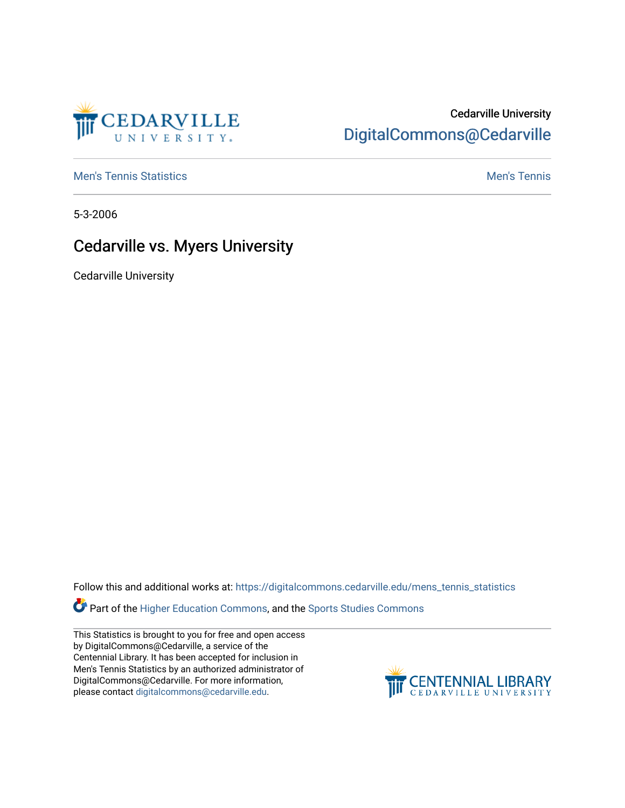

## Cedarville University [DigitalCommons@Cedarville](https://digitalcommons.cedarville.edu/)

**[Men's Tennis Statistics](https://digitalcommons.cedarville.edu/mens_tennis_statistics) Mental According to the Control of Control According Mental Men's Tennis** 

5-3-2006

## Cedarville vs. Myers University

Cedarville University

Follow this and additional works at: [https://digitalcommons.cedarville.edu/mens\\_tennis\\_statistics](https://digitalcommons.cedarville.edu/mens_tennis_statistics?utm_source=digitalcommons.cedarville.edu%2Fmens_tennis_statistics%2F647&utm_medium=PDF&utm_campaign=PDFCoverPages)

Part of the [Higher Education Commons,](http://network.bepress.com/hgg/discipline/1245?utm_source=digitalcommons.cedarville.edu%2Fmens_tennis_statistics%2F647&utm_medium=PDF&utm_campaign=PDFCoverPages) and the [Sports Studies Commons](http://network.bepress.com/hgg/discipline/1198?utm_source=digitalcommons.cedarville.edu%2Fmens_tennis_statistics%2F647&utm_medium=PDF&utm_campaign=PDFCoverPages) 

This Statistics is brought to you for free and open access by DigitalCommons@Cedarville, a service of the Centennial Library. It has been accepted for inclusion in Men's Tennis Statistics by an authorized administrator of DigitalCommons@Cedarville. For more information, please contact [digitalcommons@cedarville.edu](mailto:digitalcommons@cedarville.edu).